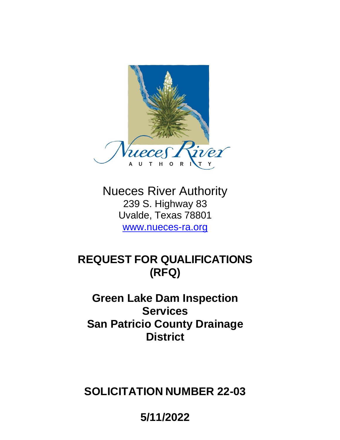

Nueces River Authority 239 S. Highway 83 Uvalde, Texas 78801 [www.nueces-ra.org](http://www.nueces-ra.org/)

# **REQUEST FOR QUALIFICATIONS (RFQ)**

# **Green Lake Dam Inspection Services San Patricio County Drainage District**

**SOLICITATION NUMBER 22-03**

**5/11/2022**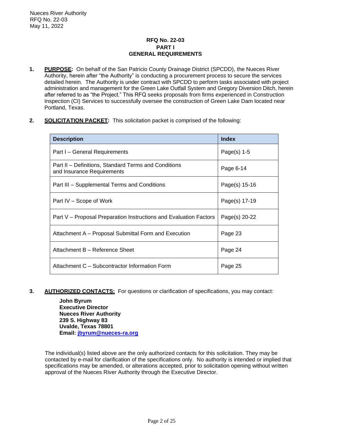## **RFQ No. 22-03 PART I GENERAL REQUIREMENTS**

- **1. PURPOSE:** On behalf of the San Patricio County Drainage District (SPCDD), the Nueces River Authority, herein after "the Authority" is conducting a procurement process to secure the services detailed herein. The Authority is under contract with SPCDD to perform tasks associated with project administration and management for the Green Lake Outfall System and Gregory Diversion Ditch, herein after referred to as "the Project." This RFQ seeks proposals from firms experienced in Construction Inspection (CI) Services to successfully oversee the construction of Green Lake Dam located near Portland, Texas.
- **2. SOLICITATION PACKET:** This solicitation packet is comprised of the following:

| <b>Description</b>                                                                 | <b>Index</b>  |
|------------------------------------------------------------------------------------|---------------|
| Part I – General Requirements                                                      | Page(s) $1-5$ |
| Part II – Definitions, Standard Terms and Conditions<br>and Insurance Requirements | Page 6-14     |
| Part III - Supplemental Terms and Conditions                                       | Page(s) 15-16 |
| Part IV – Scope of Work                                                            | Page(s) 17-19 |
| Part V – Proposal Preparation Instructions and Evaluation Factors                  | Page(s) 20-22 |
| Attachment A - Proposal Submittal Form and Execution                               | Page 23       |
| Attachment B - Reference Sheet                                                     | Page 24       |
| Attachment C – Subcontractor Information Form                                      | Page 25       |

**3. AUTHORIZED CONTACTS:** For questions or clarification of specifications, you may contact:

**John Byrum Executive Director Nueces River Authority 239 S. Highway 83 Uvalde, Texas 78801 Email: [jbyrum@nueces-ra.org](mailto:jbyrum@nueces-ra.org)**

The individual(s) listed above are the only authorized contacts for this solicitation. They may be contacted by e-mail for clarification of the specifications only. No authority is intended or implied that specifications may be amended, or alterations accepted, prior to solicitation opening without written approval of the Nueces River Authority through the Executive Director.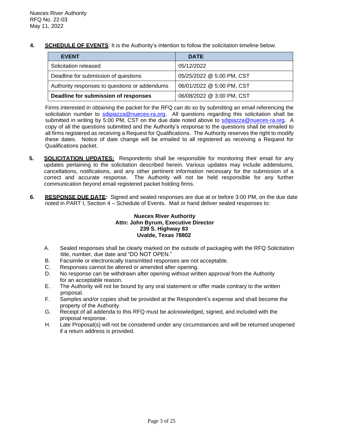**4. SCHEDULE OF EVENTS**: It is the Authority's intention to follow the solicitation timeline below.

| <b>EVENT</b>                                  | <b>DATE</b>               |
|-----------------------------------------------|---------------------------|
| Solicitation released                         | 05/12/2022                |
| Deadline for submission of questions          | 05/25/2022 @ 5:00 PM, CST |
| Authority responses to questions or addendums | 06/01/2022 @ 5:00 PM, CST |
| Deadline for submission of responses          | 06/08/2022 @ 3:00 PM, CST |

Firms interested in obtaining the packet for the RFQ can do so by submitting an email referencing the solicitation number to [sdipiazza@nueces-ra.org.](mailto:sdipiazza@nueces-ra.org) All questions regarding this solicitation shall be submitted in writing by 5:00 PM, CST on the due date noted above to [sdipiazza@nueces-ra.org.](mailto:sdipiazza@nueces-ra.org) A copy of all the questions submitted and the Authority's response to the questions shall be emailed to all firms registered as receiving a Request for Qualifications. The Authority reserves the right to modify these dates. Notice of date change will be emailed to all registered as receiving a Request for Qualifications packet.

- **5. SOLICITATION UPDATES:** Respondents shall be responsible for monitoring their email for any updates pertaining to the solicitation described herein. Various updates may include addendums, cancellations, notifications, and any other pertinent information necessary for the submission of a correct and accurate response. The Authority will not be held responsible for any further communication beyond email registered packet holding firms.
- **6. RESPONSE DUE DATE:** Signed and sealed responses are due at or before 3:00 PM, on the due date noted in PART I, Section 4 – Schedule of Events. Mail or hand deliver sealed responses to:

## **Nueces River Authority Attn: John Byrum, Executive Director 239 S. Highway 83 Uvalde, Texas 78802**

- A. Sealed responses shall be clearly marked on the outside of packaging with the RFQ Solicitation title, number, due date and "DO NOT OPEN."
- B. Facsimile or electronically transmitted responses are not acceptable.
- C. Responses cannot be altered or amended after opening.
- D. No response can be withdrawn after opening without written approval from the Authority for an acceptable reason.
- E. The Authority will not be bound by any oral statement or offer made contrary to the written proposal.
- F. Samples and/or copies shall be provided at the Respondent's expense and shall become the property of the Authority.
- G. Receipt of all addenda to this RFQ must be acknowledged, signed, and included with the proposal response.
- H. Late Proposal(s) will not be considered under any circumstances and will be returned unopened if a return address is provided.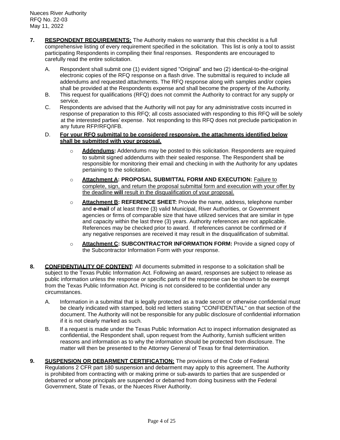- **7. RESPONDENT REQUIREMENTS:** The Authority makes no warranty that this checklist is a full comprehensive listing of every requirement specified in the solicitation. This list is only a tool to assist participating Respondents in compiling their final responses. Respondents are encouraged to carefully read the entire solicitation.
	- A. Respondent shall submit one (1) evident signed "Original" and two (2) identical-to-the-original electronic copies of the RFQ response on a flash drive. The submittal is required to include all addendums and requested attachments. The RFQ response along with samples and/or copies shall be provided at the Respondents expense and shall become the property of the Authority.
	- B. This request for qualifications (RFQ) does not commit the Authority to contract for any supply or service.
	- C. Respondents are advised that the Authority will not pay for any administrative costs incurred in response of preparation to this RFQ; all costs associated with responding to this RFQ will be solely at the interested parties' expense. Not responding to this RFQ does not preclude participation in any future RFP/RFQ/IFB.
	- D. **For your RFQ submittal to be considered responsive, the attachments identified below shall be submitted with your proposal.**
		- o **Addendums:** Addendums may be posted to this solicitation. Respondents are required to submit signed addendums with their sealed response. The Respondent shall be responsible for monitoring their email and checking in with the Authority for any updates pertaining to the solicitation.
		- o **Attachment A: PROPOSAL SUBMITTAL FORM AND EXECUTION:** Failure to complete, sign, and return the proposal submittal form and execution with your offer by the deadline **will** result in the disqualification of your proposal.
		- o **Attachment B: REFERENCE SHEET:** Provide the name, address, telephone number and **e-mail** of at least three (3) valid Municipal, River Authorities, or Government agencies or firms of comparable size that have utilized services that are similar in type and capacity within the last three (3) years. Authority references are not applicable. References may be checked prior to award. If references cannot be confirmed or if any negative responses are received it may result in the disqualification of submittal.
		- o **Attachment C: SUBCONTRACTOR INFORMATION FORM:** Provide a signed copy of the Subcontractor Information Form with your response.
- **8. CONFIDENTIALITY OF CONTENT:** All documents submitted in response to a solicitation shall be subject to the Texas Public Information Act. Following an award, responses are subject to release as public information unless the response or specific parts of the response can be shown to be exempt from the Texas Public Information Act. Pricing is not considered to be confidential under any circumstances.
	- A. Information in a submittal that is legally protected as a trade secret or otherwise confidential must be clearly indicated with stamped, bold red letters stating "CONFIDENTIAL" on that section of the document. The Authority will not be responsible for any public disclosure of confidential information if it is not clearly marked as such.
	- B. If a request is made under the Texas Public Information Act to inspect information designated as confidential, the Respondent shall, upon request from the Authority, furnish sufficient written reasons and information as to why the information should be protected from disclosure. The matter will then be presented to the Attorney General of Texas for final determination.
- **9. SUSPENSION OR DEBARMENT CERTIFICATION:** The provisions of the Code of Federal Regulations 2 CFR part 180 suspension and debarment may apply to this agreement. The Authority is prohibited from contracting with or making prime or sub-awards to parties that are suspended or debarred or whose principals are suspended or debarred from doing business with the Federal Government, State of Texas, or the Nueces River Authority.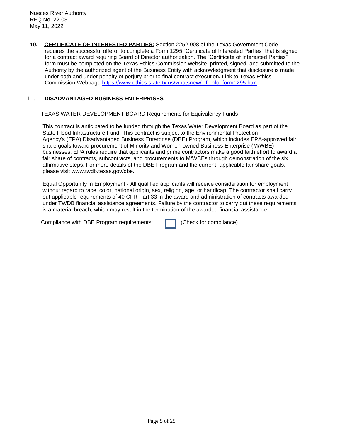**10. CERTIFICATE OF INTERESTED PARTIES:** Section 2252.908 of the Texas Government Code requires the successful offeror to complete a Form 1295 "Certificate of Interested Parties" that is signed for a contract award requiring Board of Director authorization. The "Certificate of Interested Parties" form must be completed on the Texas Ethics Commission website, printed, signed, and submitted to the Authority by the authorized agent of the Business Entity with acknowledgment that disclosure is made under oath and under penalty of perjury prior to final contract execution**.** Link to Texas Ethics Commission Webpage:http[s://www.ethics](http://www.ethics.state.tx.us/whatsnew/elf_info_form1295.htm).[state.tx.us/whatsnew/elf\\_info\\_form1295.htm](http://www.ethics.state.tx.us/whatsnew/elf_info_form1295.htm)

## 11. **DISADVANTAGED BUSINESS ENTERPRISES**

TEXAS WATER DEVELOPMENT BOARD Requirements for Equivalency Funds

 This contract is anticipated to be funded through the Texas Water Development Board as part of the State Flood Infrastructure Fund. This contract is subject to the Environmental Protection Agency's (EPA) Disadvantaged Business Enterprise (DBE) Program, which includes EPA-approved fair share goals toward procurement of Minority and Women-owned Business Enterprise (M/WBE) businesses. EPA rules require that applicants and prime contractors make a good faith effort to award a fair share of contracts, subcontracts, and procurements to M/WBEs through demonstration of the six affirmative steps. For more details of the DBE Program and the current, applicable fair share goals, please visit www.twdb.texas.gov/dbe.

 Equal Opportunity in Employment - All qualified applicants will receive consideration for employment without regard to race, color, national origin, sex, religion, age, or handicap. The contractor shall carry out applicable requirements of 40 CFR Part 33 in the award and administration of contracts awarded under TWDB financial assistance agreements. Failure by the contractor to carry out these requirements is a material breach, which may result in the termination of the awarded financial assistance.

Compliance with DBE Program requirements: (Check for compliance)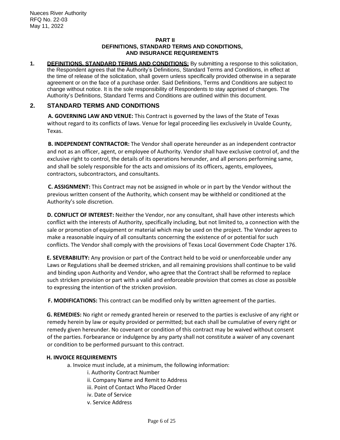## **PART II DEFINITIONS, STANDARD TERMS AND CONDITIONS, AND INSURANCE REQUIREMENTS**

**1. DEFINITIONS, STANDARD TERMS AND CONDITIONS:** By submitting a response to this solicitation, the Respondent agrees that the Authority's Definitions, Standard Terms and Conditions, in effect at the time of release of the solicitation, shall govern unless specifically provided otherwise in a separate agreement or on the face of a purchase order. Said Definitions, Terms and Conditions are subject to change without notice. It is the sole responsibility of Respondents to stay apprised of changes. The Authority's Definitions, Standard Terms and Conditions are outlined within this document.

# **2. STANDARD TERMS AND CONDITIONS**

**A. GOVERNING LAW AND VENUE:** This Contract is governed by the laws of the State of Texas without regard to its conflicts of laws. Venue for legal proceeding lies exclusively in Uvalde County, Texas.

**B. INDEPENDENT CONTRACTOR:** The Vendor shall operate hereunder as an independent contractor and not as an officer, agent, or employee of Authority. Vendor shall have exclusive control of, and the exclusive right to control, the details of its operations hereunder, and all persons performing same, and shall be solely responsible for the acts and omissions of its officers, agents, employees, contractors, subcontractors, and consultants.

**C. ASSIGNMENT:** This Contract may not be assigned in whole or in part by the Vendor without the previous written consent of the Authority, which consent may be withheld or conditioned at the Authority's sole discretion.

**D. CONFLICT OF INTEREST:** Neither the Vendor, nor any consultant, shall have other interests which conflict with the interests of Authority, specifically including, but not limited to, a connection with the sale or promotion of equipment or material which may be used on the project. The Vendor agrees to make a reasonable inquiry of all consultants concerning the existence of or potential for such conflicts. The Vendor shall comply with the provisions of Texas Local Government Code Chapter 176.

**E. SEVERABILITY:** Any provision or part of the Contract held to be void or unenforceable under any Laws or Regulations shall be deemed stricken, and all remaining provisions shall continue to be valid and binding upon Authority and Vendor, who agree that the Contract shall be reformed to replace such stricken provision or part with a valid and enforceable provision that comes as close as possible to expressing the intention of the stricken provision.

**F. MODIFICATIONS:** This contract can be modified only by written agreement of the parties.

**G. REMEDIES:** No right or remedy granted herein or reserved to the parties is exclusive of any right or remedy herein by law or equity provided or permitted; but each shall be cumulative of every right or remedy given hereunder. No covenant or condition of this contract may be waived without consent of the parties. Forbearance or indulgence by any party shall not constitute a waiver of any covenant or condition to be performed pursuant to this contract.

## **H. INVOICE REQUIREMENTS**

a. Invoice must include, at a minimum, the following information:

- i. Authority Contract Number
- ii. Company Name and Remit to Address
- iii. Point of Contact Who Placed Order
- iv. Date of Service
- v. Service Address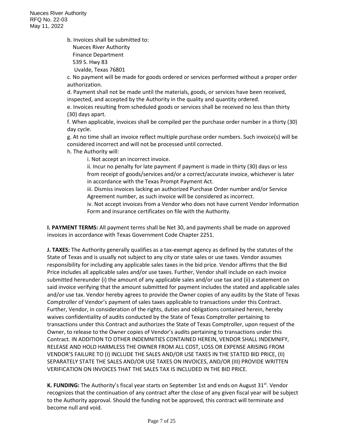Nueces River Authority RFQ No. 22-03 May 11, 2022

b. Invoices shall be submitted to:

 Nueces River Authority Finance Department

539 S. Hwy 83

Uvalde, Texas 76801

c. No payment will be made for goods ordered or services performed without a proper order authorization.

d. Payment shall not be made until the materials, goods, or services have been received, inspected, and accepted by the Authority in the quality and quantity ordered.

e. Invoices resulting from scheduled goods or services shall be received no less than thirty (30) days apart.

f. When applicable, invoices shall be compiled per the purchase order number in a thirty (30) day cycle.

g. At no time shall an invoice reflect multiple purchase order numbers. Such invoice(s) will be considered incorrect and will not be processed until corrected.

h. The Authority will:

i. Not accept an incorrect invoice.

ii. Incur no penalty for late payment if payment is made in thirty (30) days or less from receipt of goods/services and/or a correct/accurate invoice, whichever is later in accordance with the Texas Prompt Payment Act.

iii. Dismiss invoices lacking an authorized Purchase Order number and/or Service Agreement number, as such invoice will be considered as incorrect.

iv. Not accept invoices from a Vendor who does not have current Vendor Information Form and insurance certificates on file with the Authority.

**I. PAYMENT TERMS:** All payment terms shall be Net 30, and payments shall be made on approved invoices in accordance with Texas Government Code Chapter 2251.

**J. TAXES:** The Authority generally qualifies as a tax-exempt agency as defined by the statutes of the State of Texas and is usually not subject to any city or state sales or use taxes. Vendor assumes responsibility for including any applicable sales taxes in the bid price. Vendor affirms that the Bid Price includes all applicable sales and/or use taxes. Further, Vendor shall include on each invoice submitted hereunder (i) the amount of any applicable sales and/or use tax and (ii) a statement on said invoice verifying that the amount submitted for payment includes the stated and applicable sales and/or use tax. Vendor hereby agrees to provide the Owner copies of any audits by the State of Texas Comptroller of Vendor's payment of sales taxes applicable to transactions under this Contract. Further, Vendor, in consideration of the rights, duties and obligations contained herein, hereby waives confidentiality of audits conducted by the State of Texas Comptroller pertaining to transactions under this Contract and authorizes the State of Texas Comptroller, upon request of the Owner, to release to the Owner copies of Vendor's audits pertaining to transactions under this Contract. IN ADDITION TO OTHER INDEMNITIES CONTAINED HEREIN, VENDOR SHALL INDEMNIFY, RELEASE AND HOLD HARMLESS THE OWNER FROM ALL COST, LOSS OR EXPENSE ARISING FROM VENDOR'S FAILURE TO (I) INCLUDE THE SALES AND/OR USE TAXES IN THE STATED BID PRICE, (II) SEPARATELY STATE THE SALES AND/OR USE TAXES ON INVOICES, AND/OR (III) PROVIDE WRITTEN VERIFICATION ON INVOICES THAT THE SALES TAX IS INCLUDED IN THE BID PRICE.

**K. FUNDING:** The Authority's fiscal year starts on September 1st and ends on August 31<sup>st</sup>. Vendor recognizes that the continuation of any contract after the close of any given fiscal year will be subject to the Authority approval. Should the funding not be approved, this contract will terminate and become null and void.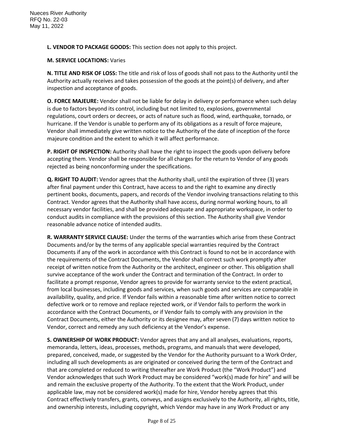**L. VENDOR TO PACKAGE GOODS:** This section does not apply to this project.

## **M. SERVICE LOCATIONS:** Varies

**N. TITLE AND RISK OF LOSS:** The title and risk of loss of goods shall not pass to the Authority until the Authority actually receives and takes possession of the goods at the point(s) of delivery, and after inspection and acceptance of goods.

**O. FORCE MAJEURE:** Vendor shall not be liable for delay in delivery or performance when such delay is due to factors beyond its control, including but not limited to, explosions, governmental regulations, court orders or decrees, or acts of nature such as flood, wind, earthquake, tornado, or hurricane. If the Vendor is unable to perform any of its obligations as a result of force majeure, Vendor shall immediately give written notice to the Authority of the date of inception of the force majeure condition and the extent to which it will affect performance.

**P. RIGHT OF INSPECTION:** Authority shall have the right to inspect the goods upon delivery before accepting them. Vendor shall be responsible for all charges for the return to Vendor of any goods rejected as being nonconforming under the specifications.

**Q. RIGHT TO AUDIT:** Vendor agrees that the Authority shall, until the expiration of three (3) years after final payment under this Contract, have access to and the right to examine any directly pertinent books, documents, papers, and records of the Vendor involving transactions relating to this Contract. Vendor agrees that the Authority shall have access, during normal working hours, to all necessary vendor facilities, and shall be provided adequate and appropriate workspace, in order to conduct audits in compliance with the provisions of this section. The Authority shall give Vendor reasonable advance notice of intended audits.

**R. WARRANTY SERVICE CLAUSE:** Under the terms of the warranties which arise from these Contract Documents and/or by the terms of any applicable special warranties required by the Contract Documents if any of the work in accordance with this Contract is found to not be in accordance with the requirements of the Contract Documents, the Vendor shall correct such work promptly after receipt of written notice from the Authority or the architect, engineer or other. This obligation shall survive acceptance of the work under the Contract and termination of the Contract. In order to facilitate a prompt response, Vendor agrees to provide for warranty service to the extent practical, from local businesses, including goods and services, when such goods and services are comparable in availability, quality, and price. If Vendor fails within a reasonable time after written notice to correct defective work or to remove and replace rejected work, or if Vendor fails to perform the work in accordance with the Contract Documents, or if Vendor fails to comply with any provision in the Contract Documents, either the Authority or its designee may, after seven (7) days written notice to Vendor, correct and remedy any such deficiency at the Vendor's expense.

**S. OWNERSHIP OF WORK PRODUCT:** Vendor agrees that any and all analyses, evaluations, reports, memoranda, letters, ideas, processes, methods, programs, and manuals that were developed, prepared, conceived, made, or suggested by the Vendor for the Authority pursuant to a Work Order, including all such developments as are originated or conceived during the term of the Contract and that are completed or reduced to writing thereafter are Work Product (the "Work Product") and Vendor acknowledges that such Work Product may be considered "work(s) made for hire" and will be and remain the exclusive property of the Authority. To the extent that the Work Product, under applicable law, may not be considered work(s) made for hire, Vendor hereby agrees that this Contract effectively transfers, grants, conveys, and assigns exclusively to the Authority, all rights, title, and ownership interests, including copyright, which Vendor may have in any Work Product or any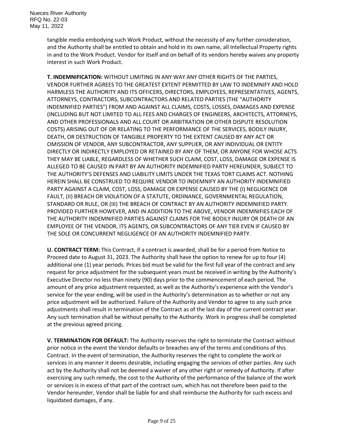tangible media embodying such Work Product, without the necessity of any further consideration, and the Authority shall be entitled to obtain and hold in its own name, all Intellectual Property rights in and to the Work Product. Vendor for itself and on behalf of its vendors hereby waives any property interest in such Work Product.

**T. INDEMNIFICATION:** WITHOUT LIMITING IN ANY WAY ANY OTHER RIGHTS OF THE PARTIES, VENDOR FURTHER AGREES TO THE GREATEST EXTENT PERMITTED BY LAW TO INDEMNIFY AND HOLD HARMLESS THE AUTHORITY AND ITS OFFICERS, DIRECTORS, EMPLOYEES, REPRESENTATIVES, AGENTS, ATTORNEYS, CONTRACTORS, SUBCONTRACTORS AND RELATED PARTIES (THE "AUTHORITY INDEMNIFIED PARTIES") FROM AND AGAINST ALL CLAIMS, COSTS, LOSSES, DAMAGES AND EXPENSE (INCLUDING BUT NOT LIMITED TO ALL FEES AND CHARGES OF ENGINEERS, ARCHITECTS, ATTORNEYS, AND OTHER PROFESSIONALS AND ALL COURT OR ARBITRATION OR OTHER DISPUTE RESOLUTION COSTS) ARISING OUT OF OR RELATING TO THE PERFORMANCE OF THE SERVICES, BODILY INJURY, DEATH, OR DESTRUCTION OF TANGIBLE PROPERTY TO THE EXTENT CAUSED BY ANY ACT OR OMISSION OF VENDOR, ANY SUBCONTRACTOR, ANY SUPPLIER, OR ANY INDIVIDUAL OR ENTITY DIRECTLY OR INDIRECTLY EMPLOYED OR RETAINED BY ANY OF THEM, OR ANYONE FOR WHOSE ACTS THEY MAY BE LIABLE, REGARDLESS OF WHETHER SUCH CLAIM, COST, LOSS, DAMAGE OR EXPENSE IS ALLEGED TO BE CAUSED IN PART BY AN AUTHORITY INDEMNIFIED PARTY HEREUNDER, SUBJECT TO THE AUTHORITY'S DEFENSES AND LIABILITY LIMITS UNDER THE TEXAS TORT CLAIMS ACT. NOTHING HEREIN SHALL BE CONSTRUED TO REQUIRE VENDOR TO INDEMNIFY AN AUTHORITY INDEMNIFIED PARTY AGAINST A CLAIM, COST, LOSS, DAMAGE OR EXPENSE CAUSED BY THE (I) NEGLIGENCE OR FAULT, (II) BREACH OR VIOLATION OF A STATUTE, ORDINANCE, GOVERNMENTAL REGULATION, STANDARD OR RULE, OR (III) THE BREACH OF CONTRACT BY AN AUTHORITY INDEMNIFIED PARTY. PROVIDED FURTHER HOWEVER, AND IN ADDITION TO THE ABOVE, VENDOR INDEMNIFIES EACH OF THE AUTHORITY INDEMNIFIED PARTIES AGAINST CLAIMS FOR THE BODILY INJURY OR DEATH OF AN EMPLOYEE OF THE VENDOR, ITS AGENTS, OR SUBCONTRACTORS OF ANY TIER EVEN IF CAUSED BY THE SOLE OR CONCURRENT NEGLIGENCE OF AN AUTHORITY INDEMNIFIED PARTY.

**U. CONTRACT TERM:** This Contract, if a contract is awarded, shall be for a period from Notice to Proceed date to August 31, 2023. The Authority shall have the option to renew for up to four (4) additional one (1) year periods. Prices bid must be valid for the first full year of the contract and any request for price adjustment for the subsequent years must be received in writing by the Authority's Executive Director no less than ninety (90) days prior to the commencement of each period. The amount of any price adjustment requested, as well as the Authority's experience with the Vendor's service for the year ending, will be used in the Authority's determination as to whether or not any price adjustment will be authorized. Failure of the Authority and Vendor to agree to any such price adjustments shall result in termination of the Contract as of the last day of the current contract year. Any such termination shall be without penalty to the Authority. Work in progress shall be completed at the previous agreed pricing.

**V. TERMINATION FOR DEFAULT:** The Authority reserves the right to terminate the Contract without prior notice in the event the Vendor defaults or breaches any of the terms and conditions of this Contract. In the event of termination, the Authority reserves the right to complete the work or services in any manner it deems desirable, including engaging the services of other parties. Any such act by the Authority shall not be deemed a waiver of any other right or remedy of Authority. If after exercising any such remedy, the cost to the Authority of the performance of the balance of the work or services is in excess of that part of the contract sum, which has not therefore been paid to the Vendor hereunder, Vendor shall be liable for and shall reimburse the Authority for such excess and liquidated damages, if any.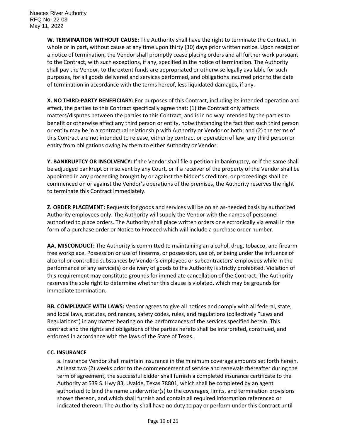**W. TERMINATION WITHOUT CAUSE:** The Authority shall have the right to terminate the Contract, in whole or in part, without cause at any time upon thirty (30) days prior written notice. Upon receipt of a notice of termination, the Vendor shall promptly cease placing orders and all further work pursuant to the Contract, with such exceptions, if any, specified in the notice of termination. The Authority shall pay the Vendor, to the extent funds are appropriated or otherwise legally available for such purposes, for all goods delivered and services performed, and obligations incurred prior to the date of termination in accordance with the terms hereof, less liquidated damages, if any.

**X. NO THIRD-PARTY BENEFICIARY:** For purposes of this Contract, including its intended operation and effect, the parties to this Contract specifically agree that: (1) the Contract only affects matters/disputes between the parties to this Contract, and is in no way intended by the parties to benefit or otherwise affect any third person or entity, notwithstanding the fact that such third person or entity may be in a contractual relationship with Authority or Vendor or both; and (2) the terms of this Contract are not intended to release, either by contract or operation of law, any third person or entity from obligations owing by them to either Authority or Vendor.

**Y. BANKRUPTCY OR INSOLVENCY:** If the Vendor shall file a petition in bankruptcy, or if the same shall be adjudged bankrupt or insolvent by any Court, or if a receiver of the property of the Vendor shall be appointed in any proceeding brought by or against the bidder's creditors, or proceedings shall be commenced on or against the Vendor's operations of the premises, the Authority reserves the right to terminate this Contract immediately.

**Z. ORDER PLACEMENT:** Requests for goods and services will be on an as-needed basis by authorized Authority employees only. The Authority will supply the Vendor with the names of personnel authorized to place orders. The Authority shall place written orders or electronically via email in the form of a purchase order or Notice to Proceed which will include a purchase order number.

**AA. MISCONDUCT:** The Authority is committed to maintaining an alcohol, drug, tobacco, and firearm free workplace. Possession or use of firearms, or possession, use of, or being under the influence of alcohol or controlled substances by Vendor's employees or subcontractors' employees while in the performance of any service(s) or delivery of goods to the Authority is strictly prohibited. Violation of this requirement may constitute grounds for immediate cancellation of the Contract. The Authority reserves the sole right to determine whether this clause is violated, which may be grounds for immediate termination.

**BB. COMPLIANCE WITH LAWS:** Vendor agrees to give all notices and comply with all federal, state, and local laws, statutes, ordinances, safety codes, rules, and regulations (collectively "Laws and Regulations") in any matter bearing on the performances of the services specified herein. This contract and the rights and obligations of the parties hereto shall be interpreted, construed, and enforced in accordance with the laws of the State of Texas.

## **CC. INSURANCE**

a. Insurance Vendor shall maintain insurance in the minimum coverage amounts set forth herein. At least two (2) weeks prior to the commencement of service and renewals thereafter during the term of agreement, the successful bidder shall furnish a completed insurance certificate to the Authority at 539 S. Hwy 83, Uvalde, Texas 78801, which shall be completed by an agent authorized to bind the name underwriter(s) to the coverages, limits, and termination provisions shown thereon, and which shall furnish and contain all required information referenced or indicated thereon. The Authority shall have no duty to pay or perform under this Contract until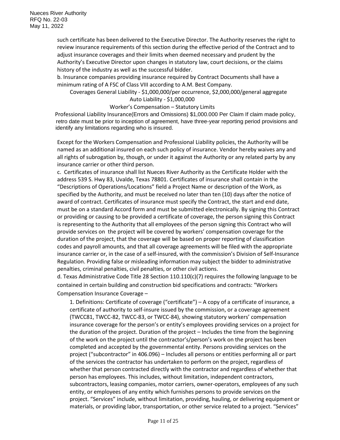such certificate has been delivered to the Executive Director. The Authority reserves the right to review insurance requirements of this section during the effective period of the Contract and to adjust insurance coverages and their limits when deemed necessary and prudent by the Authority's Executive Director upon changes in statutory law, court decisions, or the claims history of the industry as well as the successful bidder.

b. Insurance companies providing insurance required by Contract Documents shall have a minimum rating of A FSC of Class VIII according to A.M. Best Company.

Coverages General Liability - \$1,000,000/per occurrence, \$2,000,000/general aggregate Auto Liability - \$1,000,000

Worker's Compensation – Statutory Limits

Professional Liability Insurance(Errors and Omissions) \$1,000.000 Per Claim If claim made policy, retro date must be prior to inception of agreement, have three-year reporting period provisions and identify any limitations regarding who is insured.

Except for the Workers Compensation and Professional Liability policies, the Authority will be named as an additional insured on each such policy of insurance. Vendor hereby waives any and all rights of subrogation by, though, or under it against the Authority or any related party by any insurance carrier or other third person.

c. Certificates of insurance shall list Nueces River Authority as the Certificate Holder with the address 539 S. Hwy 83, Uvalde, Texas 78801. Certificates of insurance shall contain in the "Descriptions of Operations/Locations" field a Project Name or description of the Work, as specified by the Authority, and must be received no later than ten (10) days after the notice of award of contract. Certificates of insurance must specify the Contract, the start and end date, must be on a standard Accord form and must be submitted electronically. By signing this Contract or providing or causing to be provided a certificate of coverage, the person signing this Contract is representing to the Authority that all employees of the person signing this Contract who will provide services on the project will be covered by workers' compensation coverage for the duration of the project, that the coverage will be based on proper reporting of classification codes and payroll amounts, and that all coverage agreements will be filed with the appropriate insurance carrier or, in the case of a self-insured, with the commission's Division of Self-Insurance Regulation. Providing false or misleading information may subject the bidder to administrative penalties, criminal penalties, civil penalties, or other civil actions.

d. Texas Administrative Code Title 28 Section 110.110(c)(7) requires the following language to be contained in certain building and construction bid specifications and contracts: "Workers Compensation Insurance Coverage –

1. Definitions: Certificate of coverage ("certificate") – A copy of a certificate of insurance, a certificate of authority to self-insure issued by the commission, or a coverage agreement (TWCC81, TWCC-82, TWCC-83, or TWCC-84), showing statutory workers' compensation insurance coverage for the person's or entity's employees providing services on a project for the duration of the project. Duration of the project – Includes the time from the beginning of the work on the project until the contractor's/person's work on the project has been completed and accepted by the governmental entity. Persons providing services on the project ("subcontractor" in 406.096) – Includes all persons or entities performing all or part of the services the contractor has undertaken to perform on the project, regardless of whether that person contracted directly with the contractor and regardless of whether that person has employees. This includes, without limitation, independent contractors, subcontractors, leasing companies, motor carriers, owner-operators, employees of any such entity, or employees of any entity which furnishes persons to provide services on the project. "Services" include, without limitation, providing, hauling, or delivering equipment or materials, or providing labor, transportation, or other service related to a project. "Services"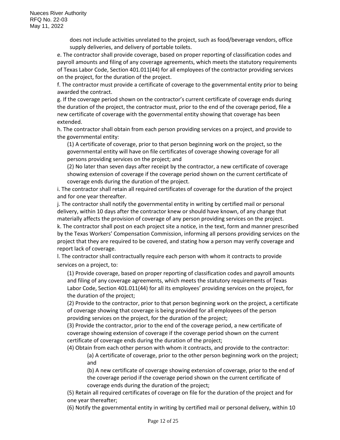does not include activities unrelated to the project, such as food/beverage vendors, office supply deliveries, and delivery of portable toilets.

e. The contractor shall provide coverage, based on proper reporting of classification codes and payroll amounts and filing of any coverage agreements, which meets the statutory requirements of Texas Labor Code, Section 401.011(44) for all employees of the contractor providing services on the project, for the duration of the project.

f. The contractor must provide a certificate of coverage to the governmental entity prior to being awarded the contract.

g. If the coverage period shown on the contractor's current certificate of coverage ends during the duration of the project, the contractor must, prior to the end of the coverage period, file a new certificate of coverage with the governmental entity showing that coverage has been extended.

h. The contractor shall obtain from each person providing services on a project, and provide to the governmental entity:

(1) A certificate of coverage, prior to that person beginning work on the project, so the governmental entity will have on file certificates of coverage showing coverage for all persons providing services on the project; and

(2) No later than seven days after receipt by the contractor, a new certificate of coverage showing extension of coverage if the coverage period shown on the current certificate of coverage ends during the duration of the project.

i. The contractor shall retain all required certificates of coverage for the duration of the project and for one year thereafter.

j. The contractor shall notify the governmental entity in writing by certified mail or personal delivery, within 10 days after the contractor knew or should have known, of any change that materially affects the provision of coverage of any person providing services on the project. k. The contractor shall post on each project site a notice, in the text, form and manner prescribed by the Texas Workers' Compensation Commission, informing all persons providing services on the project that they are required to be covered, and stating how a person may verify coverage and report lack of coverage.

l. The contractor shall contractually require each person with whom it contracts to provide services on a project, to:

(1) Provide coverage, based on proper reporting of classification codes and payroll amounts and filing of any coverage agreements, which meets the statutory requirements of Texas Labor Code, Section 401.011(44) for all its employees' providing services on the project, for the duration of the project;

(2) Provide to the contractor, prior to that person beginning work on the project, a certificate of coverage showing that coverage is being provided for all employees of the person providing services on the project, for the duration of the project;

(3) Provide the contractor, prior to the end of the coverage period, a new certificate of coverage showing extension of coverage if the coverage period shown on the current certificate of coverage ends during the duration of the project;

(4) Obtain from each other person with whom it contracts, and provide to the contractor: (a) A certificate of coverage, prior to the other person beginning work on the project; and

(b) A new certificate of coverage showing extension of coverage, prior to the end of the coverage period if the coverage period shown on the current certificate of coverage ends during the duration of the project;

(5) Retain all required certificates of coverage on file for the duration of the project and for one year thereafter;

(6) Notify the governmental entity in writing by certified mail or personal delivery, within 10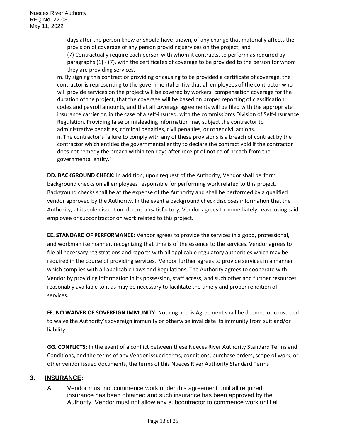days after the person knew or should have known, of any change that materially affects the provision of coverage of any person providing services on the project; and (7) Contractually require each person with whom it contracts, to perform as required by paragraphs (1) - (7), with the certificates of coverage to be provided to the person for whom they are providing services.

m. By signing this contract or providing or causing to be provided a certificate of coverage, the contractor is representing to the governmental entity that all employees of the contractor who will provide services on the project will be covered by workers' compensation coverage for the duration of the project, that the coverage will be based on proper reporting of classification codes and payroll amounts, and that all coverage agreements will be filed with the appropriate insurance carrier or, in the case of a self-insured, with the commission's Division of Self-Insurance Regulation. Providing false or misleading information may subject the contractor to administrative penalties, criminal penalties, civil penalties, or other civil actions. n. The contractor's failure to comply with any of these provisions is a breach of contract by the contractor which entitles the governmental entity to declare the contract void if the contractor does not remedy the breach within ten days after receipt of notice of breach from the governmental entity."

**DD. BACKGROUND CHECK:** In addition, upon request of the Authority, Vendor shall perform background checks on all employees responsible for performing work related to this project. Background checks shall be at the expense of the Authority and shall be performed by a qualified vendor approved by the Authority. In the event a background check discloses information that the Authority, at its sole discretion, deems unsatisfactory, Vendor agrees to immediately cease using said employee or subcontractor on work related to this project.

**EE. STANDARD OF PERFORMANCE:** Vendor agrees to provide the services in a good, professional, and workmanlike manner, recognizing that time is of the essence to the services. Vendor agrees to file all necessary registrations and reports with all applicable regulatory authorities which may be required in the course of providing services. Vendor further agrees to provide services in a manner which complies with all applicable Laws and Regulations. The Authority agrees to cooperate with Vendor by providing information in its possession, staff access, and such other and further resources reasonably available to it as may be necessary to facilitate the timely and proper rendition of services.

**FF. NO WAIVER OF SOVEREIGN IMMUNITY:** Nothing in this Agreement shall be deemed or construed to waive the Authority's sovereign immunity or otherwise invalidate its immunity from suit and/or liability.

**GG. CONFLICTS:** In the event of a conflict between these Nueces River Authority Standard Terms and Conditions, and the terms of any Vendor issued terms, conditions, purchase orders, scope of work, or other vendor issued documents, the terms of this Nueces River Authority Standard Terms

# **3. INSURANCE:**

A. Vendor must not commence work under this agreement until all required insurance has been obtained and such insurance has been approved by the Authority. Vendor must not allow any subcontractor to commence work until all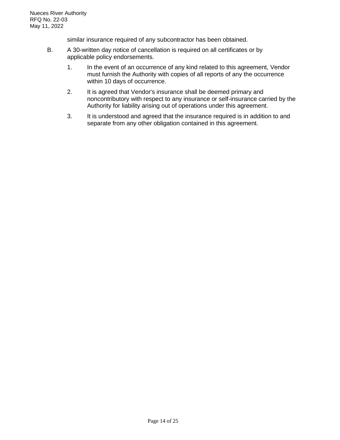similar insurance required of any subcontractor has been obtained.

- B. A 30-written day notice of cancellation is required on all certificates or by applicable policy endorsements.
	- 1. In the event of an occurrence of any kind related to this agreement, Vendor must furnish the Authority with copies of all reports of any the occurrence within 10 days of occurrence.
	- 2. It is agreed that Vendor's insurance shall be deemed primary and noncontributory with respect to any insurance or self-insurance carried by the Authority for liability arising out of operations under this agreement.
	- 3. It is understood and agreed that the insurance required is in addition to and separate from any other obligation contained in this agreement.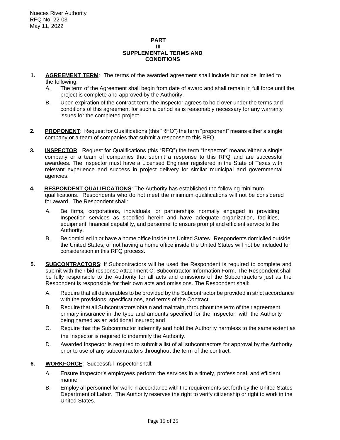#### **PART III SUPPLEMENTAL TERMS AND CONDITIONS**

- **1. AGREEMENT TERM**: The terms of the awarded agreement shall include but not be limited to the following:
	- A. The term of the Agreement shall begin from date of award and shall remain in full force until the project is complete and approved by the Authority.
	- B. Upon expiration of the contract term, the Inspector agrees to hold over under the terms and conditions of this agreement for such a period as is reasonably necessary for any warranty issues for the completed project.
- **2. PROPONENT**: Request for Qualifications (this "RFQ") the term "proponent" means either a single company or a team of companies that submit a response to this RFQ.
- **3. INSPECTOR**: Request for Qualifications (this "RFQ") the term "Inspector" means either a single company or a team of companies that submit a response to this RFQ and are successful awardees. The Inspector must have a Licensed Engineer registered in the State of Texas with relevant experience and success in project delivery for similar municipal and governmental agencies.
- **4. RESPONDENT QUALIFICATIONS**: The Authority has established the following minimum qualifications. Respondents who do not meet the minimum qualifications will not be considered for award. The Respondent shall:
	- A. Be firms, corporations, individuals, or partnerships normally engaged in providing Inspection services as specified herein and have adequate organization, facilities, equipment, financial capability, and personnel to ensure prompt and efficient service to the Authority.
	- B. Be domiciled in or have a home office inside the United States. Respondents domiciled outside the United States, or not having a home office inside the United States will not be included for consideration in this RFQ process.
- **5. SUBCONTRACTORS**: If Subcontractors will be used the Respondent is required to complete and submit with their bid response Attachment C: Subcontractor Information Form. The Respondent shall be fully responsible to the Authority for all acts and omissions of the Subcontractors just as the Respondent is responsible for their own acts and omissions. The Respondent shall:
	- A. Require that all deliverables to be provided by the Subcontractor be provided in strict accordance with the provisions, specifications, and terms of the Contract.
	- B. Require that all Subcontractors obtain and maintain, throughout the term of their agreement, primary insurance in the type and amounts specified for the Inspector, with the Authority being named as an additional insured; and
	- C. Require that the Subcontractor indemnify and hold the Authority harmless to the same extent as the Inspector is required to indemnify the Authority.
	- D. Awarded Inspector is required to submit a list of all subcontractors for approval by the Authority prior to use of any subcontractors throughout the term of the contract.
- **6. WORKFORCE**: Successful Inspector shall:
	- A. Ensure Inspector's employees perform the services in a timely, professional, and efficient manner.
	- B. Employ all personnel for work in accordance with the requirements set forth by the United States Department of Labor. The Authority reserves the right to verify citizenship or right to work in the United States.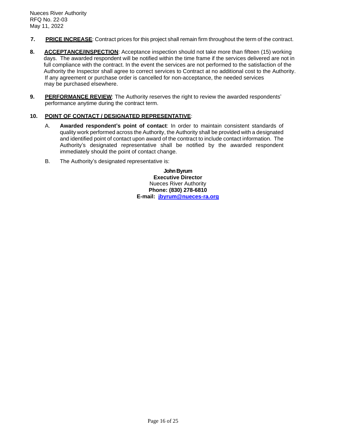- **7. PRICE INCREASE**: Contract prices for this project shall remain firm throughout the term of the contract.
- **8. ACCEPTANCE/INSPECTION**: Acceptance inspection should not take more than fifteen (15) working days. The awarded respondent will be notified within the time frame if the services delivered are not in full compliance with the contract. In the event the services are not performed to the satisfaction of the Authority the Inspector shall agree to correct services to Contract at no additional cost to the Authority. If any agreement or purchase order is cancelled for non-acceptance, the needed services may be purchased elsewhere.
- **9. PERFORMANCE REVIEW**: The Authority reserves the right to review the awarded respondents' performance anytime during the contract term.

## **10. POINT OF CONTACT / DESIGNATED REPRESENTATIVE**:

- A. **Awarded respondent's point of contact**: In order to maintain consistent standards of quality work performed across the Authority, the Authority shall be provided with a designated and identified point of contact upon award of the contract to include contact information. The Authority's designated representative shall be notified by the awarded respondent immediately should the point of contact change.
- B. The Authority's designated representative is:

**John Byrum Executive Director** Nueces River Authority **Phone: (830) 278-6810 E-mail: [jbyrum@nueces-ra.org](mailto:jbyrum@nueces-ra.org)**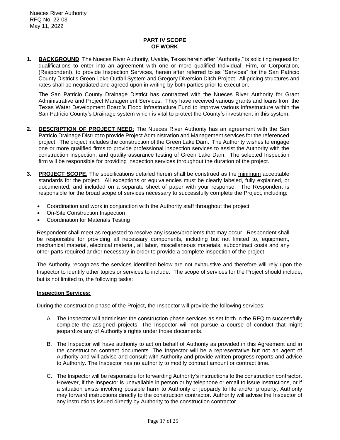## **PART IV SCOPE OF WORK**

**1. BACKGROUND**: The Nueces River Authority, Uvalde, Texas herein after "Authority," is soliciting request for qualifications to enter into an agreement with one or more qualified Individual, Firm, or Corporation, (Respondent), to provide Inspection Services, herein after referred to as "Services" for the San Patricio County District's Green Lake Outfall System and Gregory Diversion Ditch Project. All pricing structures and rates shall be negotiated and agreed upon in writing by both parties prior to execution.

The San Patricio County Drainage District has contracted with the Nueces River Authority for Grant Administrative and Project Management Services. They have received various grants and loans from the Texas Water Development Board's Flood Infrastructure Fund to improve various infrastructure within the San Patricio County's Drainage system which is vital to protect the County's investment in this system.

- **2. DESCRIPTION OF PROJECT NEED**: The Nueces River Authority has an agreement with the San Patricio Drainage District to provide Project Administration and Management services for the referenced project. The project includes the construction of the Green Lake Dam. The Authority wishes to engage one or more qualified firms to provide professional inspection services to assist the Authority with the construction inspection, and quality assurance testing of Green Lake Dam. The selected Inspection firm will be responsible for providing inspection services throughout the duration of the project.
- **3. PROJECT SCOPE**: The specifications detailed herein shall be construed as the minimum acceptable standards for the project. All exceptions or equivalencies must be clearly labeled, fully explained, or documented, and included on a separate sheet of paper with your response. The Respondent is responsible for the broad scope of services necessary to successfully complete the Project, including:
	- Coordination and work in conjunction with the Authority staff throughout the project
	- On-Site Construction Inspection
	- Coordination for Materials Testing

Respondent shall meet as requested to resolve any issues/problems that may occur. Respondent shall be responsible for providing all necessary components, including but not limited to, equipment, mechanical material, electrical material, all labor, miscellaneous materials, subcontract costs and any other parts required and/or necessary in order to provide a complete inspection of the project.

The Authority recognizes the services identified below are not exhaustive and therefore will rely upon the Inspector to identify other topics or services to include. The scope of services for the Project should include, but is not limited to, the following tasks:

#### **Inspection Services:**

During the construction phase of the Project, the Inspector will provide the following services:

- A. The Inspector will administer the construction phase services as set forth in the RFQ to successfully complete the assigned projects. The Inspector will not pursue a course of conduct that might jeopardize any of Authority's rights under those documents.
- B. The Inspector will have authority to act on behalf of Authority as provided in this Agreement and in the construction contract documents. The Inspector will be a representative but not an agent of Authority and will advise and consult with Authority and provide written progress reports and advice to Authority. The Inspector has no authority to modify contract amount or contract time.
- C. The Inspector will be responsible for forwarding Authority's instructions to the construction contractor. However, if the Inspector is unavailable in person or by telephone or email to issue instructions, or if a situation exists involving possible harm to Authority or jeopardy to life and/or property, Authority may forward instructions directly to the construction contractor. Authority will advise the Inspector of any instructions issued directly by Authority to the construction contractor.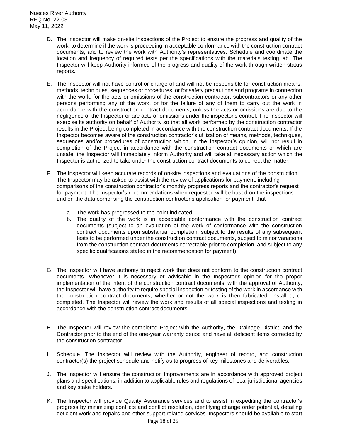Nueces River Authority RFQ No. 22-03 May 11, 2022

- D. The Inspector will make on-site inspections of the Project to ensure the progress and quality of the work, to determine if the work is proceeding in acceptable conformance with the construction contract documents, and to review the work with Authority's representatives. Schedule and coordinate the location and frequency of required tests per the specifications with the materials testing lab. The Inspector will keep Authority informed of the progress and quality of the work through written status reports.
- E. The Inspector will not have control or charge of and will not be responsible for construction means, methods, techniques, sequences or procedures, or for safety precautions and programs in connection with the work, for the acts or omissions of the construction contractor, subcontractors or any other persons performing any of the work, or for the failure of any of them to carry out the work in accordance with the construction contract documents, unless the acts or omissions are due to the negligence of the Inspector or are acts or omissions under the inspector's control. The Inspector will exercise its authority on behalf of Authority so that all work performed by the construction contractor results in the Project being completed in accordance with the construction contract documents. If the Inspector becomes aware of the construction contractor's utilization of means, methods, techniques, sequences and/or procedures of construction which, in the Inspector's opinion, will not result in completion of the Project in accordance with the construction contract documents or which are unsafe, the Inspector will immediately inform Authority and will take all necessary action which the Inspector is authorized to take under the construction contract documents to correct the matter.
- F. The Inspector will keep accurate records of on-site inspections and evaluations of the construction. The Inspector may be asked to assist with the review of applications for payment, including comparisons of the construction contractor's monthly progress reports and the contractor's request for payment. The Inspector's recommendations when requested will be based on the inspections and on the data comprising the construction contractor's application for payment, that
	- a. The work has progressed to the point indicated.
	- b. The quality of the work is in acceptable conformance with the construction contract documents (subject to an evaluation of the work of conformance with the construction contract documents upon substantial completion, subject to the results of any subsequent tests to be performed under the construction contract documents, subject to minor variations from the construction contract documents correctable prior to completion, and subject to any specific qualifications stated in the recommendation for payment).
- G. The Inspector will have authority to reject work that does not conform to the construction contract documents. Whenever it is necessary or advisable in the Inspector's opinion for the proper implementation of the intent of the construction contract documents, with the approval of Authority, the Inspector will have authority to require special inspection or testing of the work in accordance with the construction contract documents, whether or not the work is then fabricated, installed, or completed. The Inspector will review the work and results of all special inspections and testing in accordance with the construction contract documents.
- H. The Inspector will review the completed Project with the Authority, the Drainage District, and the Contractor prior to the end of the one-year warranty period and have all deficient items corrected by the construction contractor.
- I. Schedule. The Inspector will review with the Authority, engineer of record, and construction contractor(s) the project schedule and notify as to progress of key milestones and deliverables.
- J. The Inspector will ensure the construction improvements are in accordance with approved project plans and specifications, in addition to applicable rules and regulations of local jurisdictional agencies and key stake holders.
- K. The Inspector will provide Quality Assurance services and to assist in expediting the contractor's progress by minimizing conflicts and conflict resolution, identifying change order potential, detailing deficient work and repairs and other support related services. Inspectors should be available to start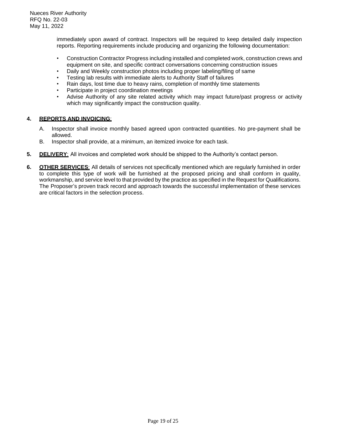immediately upon award of contract. Inspectors will be required to keep detailed daily inspection reports. Reporting requirements include producing and organizing the following documentation:

- Construction Contractor Progress including installed and completed work, construction crews and equipment on site, and specific contract conversations concerning construction issues
- Daily and Weekly construction photos including proper labeling/filing of same
- Testing lab results with immediate alerts to Authority Staff of failures
- Rain days, lost time due to heavy rains, completion of monthly time statements
- Participate in project coordination meetings
- Advise Authority of any site related activity which may impact future/past progress or activity which may significantly impact the construction quality.

## **4. REPORTS AND INVOICING**:

- A. Inspector shall invoice monthly based agreed upon contracted quantities. No pre-payment shall be allowed.
- B. Inspector shall provide, at a minimum, an itemized invoice for each task.
- **5. DELIVERY**: All invoices and completed work should be shipped to the Authority's contact person.
- **6. OTHER SERVICES**: All details of services not specifically mentioned which are regularly furnished in order to complete this type of work will be furnished at the proposed pricing and shall conform in quality, workmanship, and service level to that provided by the practice as specified in the Request for Qualifications. The Proposer's proven track record and approach towards the successful implementation of these services are critical factors in the selection process.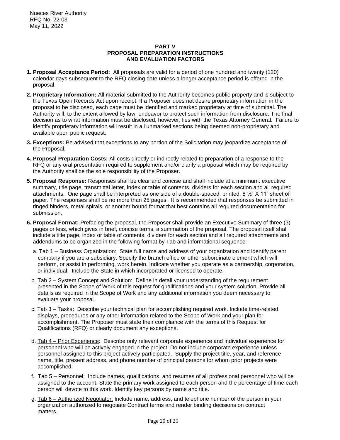## **PART V PROPOSAL PREPARATION INSTRUCTIONS AND EVALUATION FACTORS**

- **1. Proposal Acceptance Period:** All proposals are valid for a period of one hundred and twenty (120) calendar days subsequent to the RFQ closing date unless a longer acceptance period is offered in the proposal.
- **2. Proprietary Information:** All material submitted to the Authority becomes public property and is subject to the Texas Open Records Act upon receipt. If a Proposer does not desire proprietary information in the proposal to be disclosed, each page must be identified and marked proprietary at time of submittal. The Authority will, to the extent allowed by law, endeavor to protect such information from disclosure. The final decision as to what information must be disclosed, however, lies with the Texas Attorney General. Failure to identify proprietary information will result in all unmarked sections being deemed non-proprietary and available upon public request.
- **3. Exceptions:** Be advised that exceptions to any portion of the Solicitation may jeopardize acceptance of the Proposal.
- **4. Proposal Preparation Costs:** All costs directly or indirectly related to preparation of a response to the RFQ or any oral presentation required to supplement and/or clarify a proposal which may be required by the Authority shall be the sole responsibility of the Proposer.
- **5. Proposal Response:** Responses shall be clear and concise and shall include at a minimum: executive summary, title page, transmittal letter, index or table of contents, dividers for each section and all required attachments. One page shall be interpreted as one side of a double-spaced, printed, 8 ½" X 11" sheet of paper. The responses shall be no more than 25 pages. It is recommended that responses be submitted in ringed binders, metal spirals, or another bound format that best contains all required documentation for submission.
- **6. Proposal Format:** Prefacing the proposal, the Proposer shall provide an Executive Summary of three (3) pages or less, which gives in brief, concise terms, a summation of the proposal. The proposal itself shall include a title page, index or table of contents, dividers for each section and all required attachments and addendums to be organized in the following format by Tab and informational sequence:
	- a. Tab 1 Business Organization: State full name and address of your organization and identify parent company if you are a subsidiary. Specify the branch office or other subordinate element which will perform, or assist in performing, work herein. Indicate whether you operate as a partnership, corporation, or individual. Include the State in which incorporated or licensed to operate.
	- b. Tab 2 System Concept and Solution: Define in detail your understanding of the requirement presented in the Scope of Work of this request for qualifications and your system solution. Provide all details as required in the Scope of Work and any additional information you deem necessary to evaluate your proposal.
	- c. Tab 3 Tasks**:** Describe your technical plan for accomplishing required work. Include time-related displays, procedures or any other information related to the Scope of Work and your plan for accomplishment. The Proposer must state their compliance with the terms of this Request for Qualifications (RFQ) or clearly document any exceptions.
	- d. Tab 4 Prior Experience: Describe only relevant corporate experience and individual experience for personnel who will be actively engaged in the project. Do not include corporate experience unless personnel assigned to this project actively participated. Supply the project title, year, and reference name, title, present address, and phone number of principal persons for whom prior projects were accomplished.
	- f. Tab 5 Personnel: Include names, qualifications, and resumes of all professional personnel who will be assigned to the account. State the primary work assigned to each person and the percentage of time each person will devote to this work. Identify key persons by name and title.
	- g. Tab 6 Authorized Negotiator: Include name, address, and telephone number of the person in your organization authorized to negotiate Contract terms and render binding decisions on contract matters.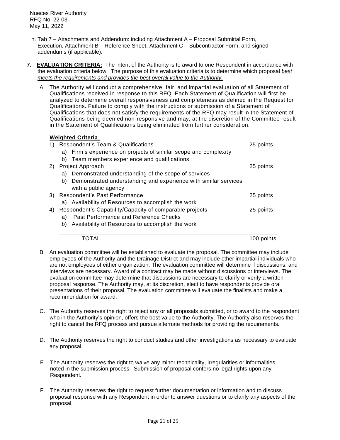Nueces River Authority RFQ No. 22-03 May 11, 2022

- h. Tab 7 Attachments and Addendum: including Attachment A Proposal Submittal Form, Execution, Attachment B – Reference Sheet, Attachment C – Subcontractor Form, and signed addendums (if applicable).
- **7. EVALUATION CRITERIA:** The intent of the Authority is to award to one Respondent in accordance with the evaluation criteria below. The purpose of this evaluation criteria is to determine which proposal *best meets the requirements and provides the best overall value to the Authority.*
	- A. The Authority will conduct a comprehensive, fair, and impartial evaluation of all Statement of Qualifications received in response to this RFQ. Each Statement of Qualification will first be analyzed to determine overall responsiveness and completeness as defined in the Request for Qualifications. Failure to comply with the instructions or submission of a Statement of Qualifications that does not satisfy the requirements of the RFQ may result in the Statement of Qualifications being deemed non-responsive and may, at the discretion of the Committee result in the Statement of Qualifications being eliminated from further consideration.

| <b>Weighted Criteria</b>                                                                      |            |
|-----------------------------------------------------------------------------------------------|------------|
| Respondent's Team & Qualifications<br>1)                                                      | 25 points  |
| a) Firm's experience on projects of similar scope and complexity                              |            |
| Team members experience and qualifications<br>b)                                              |            |
| 2) Project Approach                                                                           | 25 points  |
| Demonstrated understanding of the scope of services<br>a)                                     |            |
| Demonstrated understanding and experience with similar services<br>b)<br>with a public agency |            |
| Respondent's Past Performance<br>3)                                                           | 25 points  |
| a) Availability of Resources to accomplish the work                                           |            |
| Respondent's Capability/Capacity of comparable projects<br>4)                                 | 25 points  |
| Past Performance and Reference Checks<br>a)                                                   |            |
| Availability of Resources to accomplish the work<br>b)                                        |            |
| TOTAL                                                                                         | 100 points |

- B. An evaluation committee will be established to evaluate the proposal. The committee may include employees of the Authority and the Drainage District and may include other impartial individuals who are not employees of either organization. The evaluation committee will determine if discussions, and interviews are necessary. Award of a contract may be made without discussions or interviews. The evaluation committee may determine that discussions are necessary to clarify or verify a written proposal response. The Authority may, at its discretion, elect to have respondents provide oral presentations of their proposal. The evaluation committee will evaluate the finalists and make a recommendation for award.
- C. The Authority reserves the right to reject any or all proposals submitted, or to award to the respondent who in the Authority's opinion, offers the best value to the Authority. The Authority also reserves the right to cancel the RFQ process and pursue alternate methods for providing the requirements.
- D. The Authority reserves the right to conduct studies and other investigations as necessary to evaluate any proposal.
- E. The Authority reserves the right to waive any minor technicality, irregularities or informalities noted in the submission process. Submission of proposal confers no legal rights upon any Respondent.
- F. The Authority reserves the right to request further documentation or information and to discuss proposal response with any Respondent in order to answer questions or to clarify any aspects of the proposal.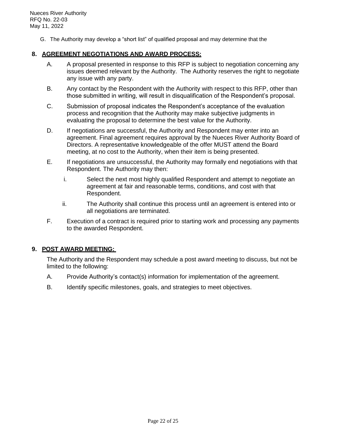G. The Authority may develop a "short list" of qualified proposal and may determine that the

# **8. AGREEMENT NEGOTIATIONS AND AWARD PROCESS:**

- A. A proposal presented in response to this RFP is subject to negotiation concerning any issues deemed relevant by the Authority. The Authority reserves the right to negotiate any issue with any party.
- B. Any contact by the Respondent with the Authority with respect to this RFP, other than those submitted in writing, will result in disqualification of the Respondent's proposal.
- C. Submission of proposal indicates the Respondent's acceptance of the evaluation process and recognition that the Authority may make subjective judgments in evaluating the proposal to determine the best value for the Authority.
- D. If negotiations are successful, the Authority and Respondent may enter into an agreement. Final agreement requires approval by the Nueces River Authority Board of Directors. A representative knowledgeable of the offer MUST attend the Board meeting, at no cost to the Authority, when their item is being presented.
- E. If negotiations are unsuccessful, the Authority may formally end negotiations with that Respondent. The Authority may then:
	- i. Select the next most highly qualified Respondent and attempt to negotiate an agreement at fair and reasonable terms, conditions, and cost with that Respondent.
	- ii. The Authority shall continue this process until an agreement is entered into or all negotiations are terminated.
- F. Execution of a contract is required prior to starting work and processing any payments to the awarded Respondent.

# **9. POST AWARD MEETING:**

The Authority and the Respondent may schedule a post award meeting to discuss, but not be limited to the following:

- A. Provide Authority's contact(s) information for implementation of the agreement.
- B. Identify specific milestones, goals, and strategies to meet objectives.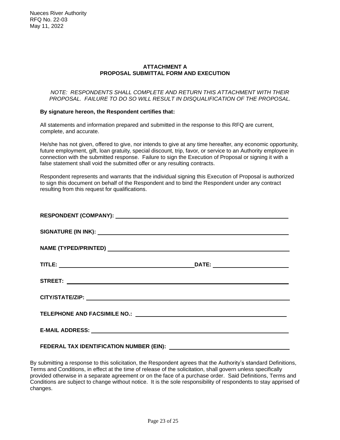## **ATTACHMENT A PROPOSAL SUBMITTAL FORM AND EXECUTION**

#### *NOTE: RESPONDENTS SHALL COMPLETE AND RETURN THIS ATTACHMENT WITH THEIR PROPOSAL. FAILURE TO DO SO WILL RESULT IN DISQUALIFICATION OF THE PROPOSAL.*

## **By signature hereon, the Respondent certifies that:**

All statements and information prepared and submitted in the response to this RFQ are current, complete, and accurate.

He/she has not given, offered to give, nor intends to give at any time hereafter, any economic opportunity, future employment, gift, loan gratuity, special discount, trip, favor, or service to an Authority employee in connection with the submitted response. Failure to sign the Execution of Proposal or signing it with a false statement shall void the submitted offer or any resulting contracts.

Respondent represents and warrants that the individual signing this Execution of Proposal is authorized to sign this document on behalf of the Respondent and to bind the Respondent under any contract resulting from this request for qualifications.

| NAME (TYPED/PRINTED) And the contract of the contract of the contract of the contract of the contract of the contract of the contract of the contract of the contract of the contract of the contract of the contract of the c |                                            |
|--------------------------------------------------------------------------------------------------------------------------------------------------------------------------------------------------------------------------------|--------------------------------------------|
|                                                                                                                                                                                                                                |                                            |
|                                                                                                                                                                                                                                |                                            |
|                                                                                                                                                                                                                                |                                            |
|                                                                                                                                                                                                                                |                                            |
|                                                                                                                                                                                                                                |                                            |
| FEDERAL TAX IDENTIFICATION NUMBER (EIN):                                                                                                                                                                                       | <u>and the contract of the contract of</u> |

By submitting a response to this solicitation, the Respondent agrees that the Authority's standard Definitions, Terms and Conditions, in effect at the time of release of the solicitation, shall govern unless specifically provided otherwise in a separate agreement or on the face of a purchase order. Said Definitions, Terms and Conditions are subject to change without notice. It is the sole responsibility of respondents to stay apprised of changes.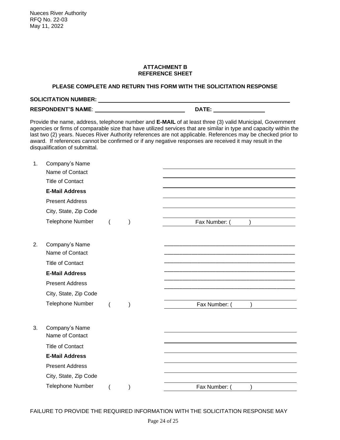## **ATTACHMENT B REFERENCE SHEET**

# **PLEASE COMPLETE AND RETURN THIS FORM WITH THE SOLICITATION RESPONSE**

| <b>SOLICITATION NUMBER:</b> |              |  |
|-----------------------------|--------------|--|
| <b>RESPONDENT'S NAME:</b>   | <b>DATE:</b> |  |

Provide the name, address, telephone number and **E-MAIL** of at least three (3) valid Municipal, Government agencies or firms of comparable size that have utilized services that are similar in type and capacity within the last two (2) years. Nueces River Authority references are not applicable. References may be checked prior to award. If references cannot be confirmed or if any negative responses are received it may result in the disqualification of submittal.

| 1. | Company's Name                    |  |               |
|----|-----------------------------------|--|---------------|
|    | Name of Contact                   |  |               |
|    | <b>Title of Contact</b>           |  |               |
|    | <b>E-Mail Address</b>             |  |               |
|    | <b>Present Address</b>            |  |               |
|    | City, State, Zip Code             |  |               |
|    | <b>Telephone Number</b>           |  | Fax Number:   |
| 2. | Company's Name<br>Name of Contact |  |               |
|    | <b>Title of Contact</b>           |  |               |
|    | <b>E-Mail Address</b>             |  |               |
|    | <b>Present Address</b>            |  |               |
|    | City, State, Zip Code             |  |               |
|    | Telephone Number                  |  | Fax Number: ( |
| 3. | Company's Name<br>Name of Contact |  |               |
|    | <b>Title of Contact</b>           |  |               |
|    | <b>E-Mail Address</b>             |  |               |
|    | <b>Present Address</b>            |  |               |
|    | City, State, Zip Code             |  |               |
|    | <b>Telephone Number</b>           |  | Fax Number: ( |
|    |                                   |  |               |

FAILURE TO PROVIDE THE REQUIRED INFORMATION WITH THE SOLICITATION RESPONSE MAY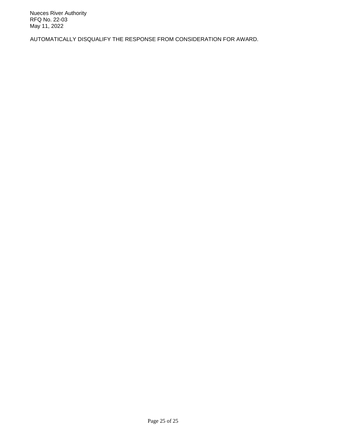AUTOMATICALLY DISQUALIFY THE RESPONSE FROM CONSIDERATION FOR AWARD.